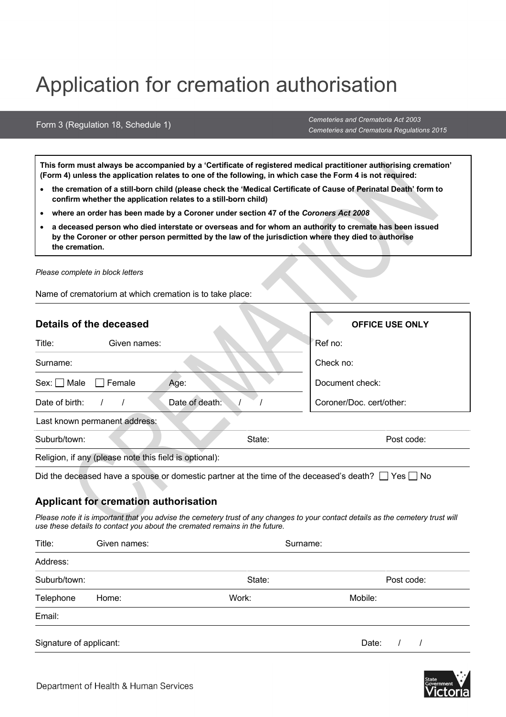# Application for cremation authorisation

#### Form 3 (Regulation 18, Schedule 1)

*Cemeteries and Crematoria Act 2003 Cemeteries and Crematoria Regulations 2015*

**This form must always be accompanied by a 'Certificate of registered medical practitioner authorising cremation' (Form 4) unless the application relates to one of the following, in which case the Form 4 is not required:**

- **the cremation of a still-born child (please check the 'Medical Certificate of Cause of Perinatal Death' form to confirm whether the application relates to a still-born child)**
- **where an order has been made by a Coroner under section 47 of the** *Coroners Act 2008*
- **a deceased person who died interstate or overseas and for whom an authority to cremate has been issued by the Coroner or other person permitted by the law of the jurisdiction where they died to authorise the cremation.**

*Please complete in block letters*

Name of crematorium at which cremation is to take place:

| Details of the deceased                                                                                      |              |                | <b>OFFICE USE ONLY</b>   |
|--------------------------------------------------------------------------------------------------------------|--------------|----------------|--------------------------|
| Title:                                                                                                       | Given names: |                | Ref no:                  |
| Surname:                                                                                                     |              |                | Check no:                |
| $Sex:$ Male                                                                                                  | Female       | Age:           | Document check:          |
| Date of birth:                                                                                               |              | Date of death: | Coroner/Doc. cert/other: |
| Last known permanent address:                                                                                |              |                |                          |
| Suburb/town:                                                                                                 |              | State:         | Post code:               |
| Religion, if any (please note this field is optional):                                                       |              |                |                          |
| Did the deceased have a spouse or domestic partner at the time of the deceased's death? $\Box$ Yes $\Box$ No |              |                |                          |

## **Applicant for cremation authorisation**

*Please note it is important that you advise the cemetery trust of any changes to your contact details as the cemetery trust will use these details to contact you about the cremated remains in the future.*

| Title:                  | Given names: | Surname: |            |  |
|-------------------------|--------------|----------|------------|--|
| Address:                |              |          |            |  |
| Suburb/town:            |              | State:   | Post code: |  |
| Telephone               | Home:        | Work:    | Mobile:    |  |
| Email:                  |              |          |            |  |
| Signature of applicant: |              |          | Date:      |  |

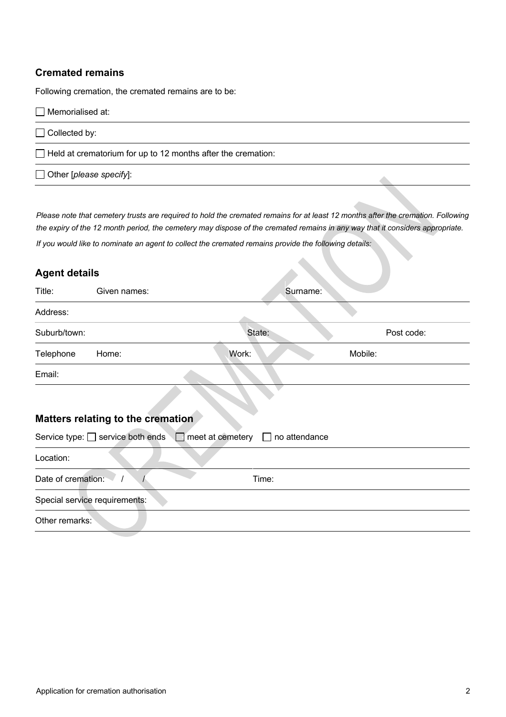## **Cremated remains**

Following cremation, the cremated remains are to be:

| $\Box$ Memorialised at:                                             |  |
|---------------------------------------------------------------------|--|
| $\Box$ Collected by:                                                |  |
| $\Box$ Held at crematorium for up to 12 months after the cremation: |  |
| $\Box$ Other [please specify]:                                      |  |
|                                                                     |  |

*Please note that cemetery trusts are required to hold the cremated remains for at least 12 months after the cremation. Following the expiry of the 12 month period, the cemetery may dispose of the cremated remains in any way that it considers appropriate.*

*If you would like to nominate an agent to collect the cremated remains provide the following details:*

## **Agent details**

| Title:             | Given names:                                                                                     | Surname:                      |            |  |
|--------------------|--------------------------------------------------------------------------------------------------|-------------------------------|------------|--|
| Address:           |                                                                                                  |                               |            |  |
| Suburb/town:       |                                                                                                  | State:                        | Post code: |  |
| Telephone          | Home:                                                                                            | Work:                         | Mobile:    |  |
| Email:             |                                                                                                  |                               |            |  |
|                    | <b>Matters relating to the cremation</b><br>Service type: □ service both ends □ meet at cemetery | no attendance<br>$\mathbf{L}$ |            |  |
| Location:          |                                                                                                  |                               |            |  |
| Date of cremation: |                                                                                                  | Time:                         |            |  |
|                    | Special service requirements:                                                                    |                               |            |  |
| Other remarks:     |                                                                                                  |                               |            |  |